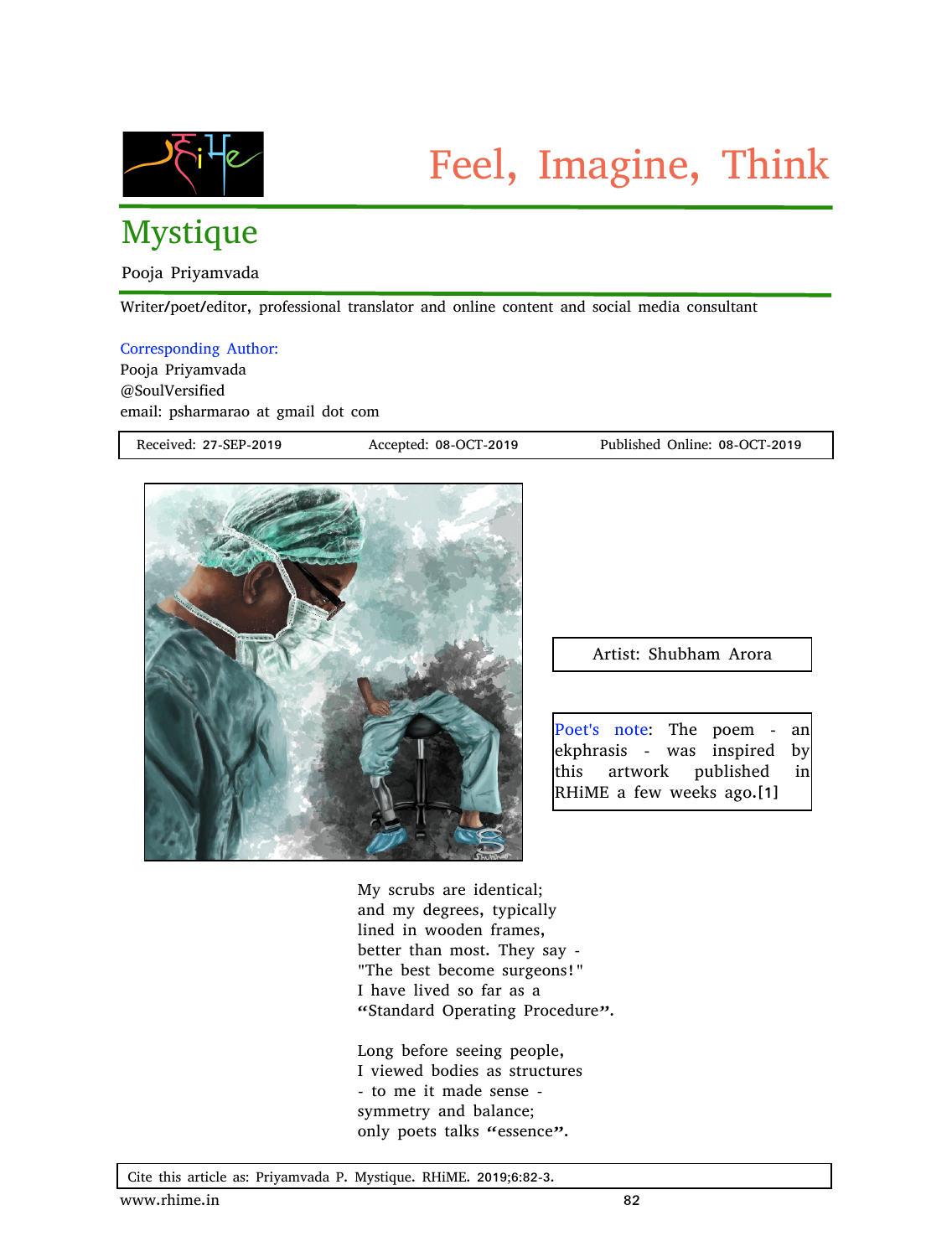

## Mystique

Pooja Priyamvada

Writer/poet/editor, professional translator and online content and social media consultant

## Corresponding Author:

Pooja Priyamvada @SoulVersified email: psharmarao at gmail dot com

Received: 27-SEP-2019 Accepted: 08-OCT-2019 Published Online: 08-OCT-2019



Artist: Shubham Arora

Poet's note: The poem - an ekphrasis - was inspired by this artwork published in RHiME a few weeks ago.[1]

My scrubs are identical; and my degrees, typically lined in wooden frames, better than most. They say - "The best become surgeons!" I have lived so far as a "Standard Operating Procedure".

Long before seeing people, I viewed bodies as structures - to me it made sense symmetry and balance; only poets talks "essence".